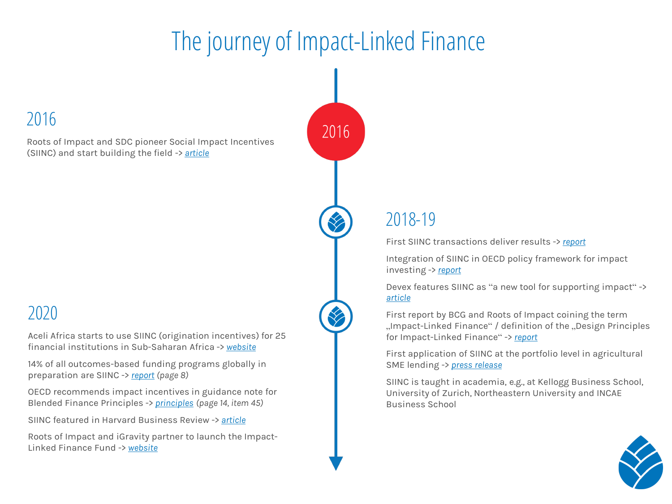# The journey of Impact-Linked Finance

## 2016

Roots of Impact and SDC pioneer Social Impact Incentives (SIINC) and start building the field -> *[article](https://impactalpha.com/social-impact-incentives-aim-to-tilt-businesses-toward-the-needs-of-the-poor-a64c70f99142/)*

## 2020

Aceli Africa starts to use SIINC (origination incentives) for 25 financial institutions in Sub-Saharan Africa -> *[website](https://aceliafrica.org/what-we-do/approach/)*

14% of all outcomes-based funding programs globally in preparation are SIINC -> *[report](http://www.ib-wg.com/pdfs/london/The%20Project%20Pipeline%20Report.pdf) (page 8)*

OECD recommends impact incentives in guidance note for Blended Finance Principles -> *[principles](https://www.oecd.org/dac/financing-sustainable-development/blended-finance-principles/documents/Principle_1_Guidance_Note_and_Background.pdf) (page 14, item 45)*

SIINC featured in Harvard Business Review -> *[article](https://hbr.org/2020/07/impact-investing-wont-save-capitalism)*

Roots of Impact and iGravity partner to launch the Impact-Linked Finance Fund -> *[website](http://www.ilf-fund.org/)*



# 2018-19

First SIINC transactions deliver results -> *[report](https://www.roots-of-impact.org/wp-content/uploads/2021/01/200224-CDA-SIINC-Data-Analysis-Report.pdf)*

Integration of SIINC in OECD policy framework for impact investing -> *[report](https://read.oecd-ilibrary.org/development/social-impact-investment-2019_9789264311299-en#page38)*

Devex features SIINC as "a new tool for supporting impact" -> *[article](https://www.devex.com/news/social-impact-incentives-a-new-tool-for-supporting-impact-94965)*

First report by BCG and Roots of Impact coining the term "Impact-Linked Finance" / definition of the "Design Principles for Impact-Linked Finance" -> *[report](https://www.roots-of-impact.org/wp-content/uploads/2019/01/Roots-of-Impact-BCG-Accelerating-Impact-Linked-Finance-2019.pdf)*

First application of SIINC at the portfolio level in agricultural SME lending -> *[press release](https://rootcapital.org/about-us/press-room/press/root-capital-launches-its-first-pay-for-impact-partnership/)*

SIINC is taught in academia, e.g., at Kellogg Business School, University of Zurich, Northeastern University and INCAE Business School